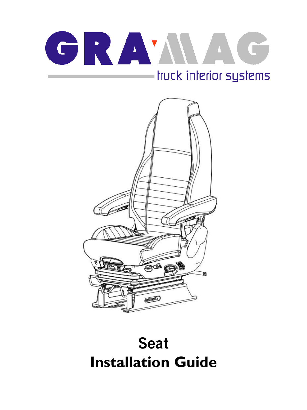# GRAMME truck interior systems



## **Seat Installation Guide**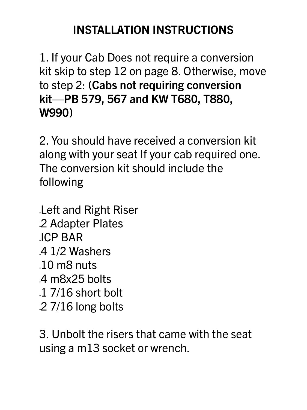## **INSTALLATION INSTRUCTIONS**

1. If your Cab Does not require a conversion kit skip to step 12 on page 8. Otherwise, move to step 2: **(Cabs not requiring conversion kit—PB 579, 567 and KW T680, T880, W990)**

2. You should have received a conversion kit along with your seat If your cab required one. The conversion kit should include the following

•Left and Right Riser •2 Adapter Plates •ICP BAR •4 1/2 Washers •10 m8 nuts •4 m8x25 bolts

•1 7/16 short bolt •2 7/16 long bolts

### 3. Unbolt the risers that came with the seat using a m13 socket or wrench.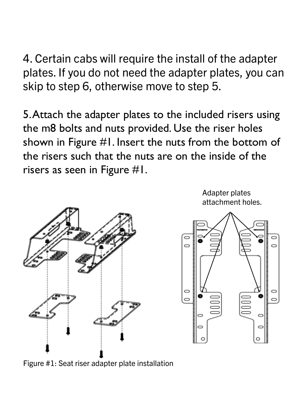4. Certain cabs will require the install of the adapter plates. If you do not need the adapter plates, you can skip to step 6, otherwise move to step 5.

5. Attach the adapter plates to the included risers using the m8 bolts and nuts provided. Use the riser holes shown in Figure #1. Insert the nuts from the bottom of the risers such that the nuts are on the inside of the risers as seen in Figure #1.



Adapter plates attachment holes.



#### Figure #1: Seat riser adapter plate installation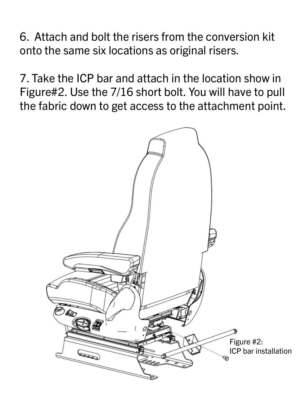6. Attach and bolt the risers from the conversion kit onto the same six locations as original risers.

7. Take the ICP bar and attach in the location show in Figure#2. Use the 7/16 short bolt. You will have to pull the fabric down to get access to the attachment point.

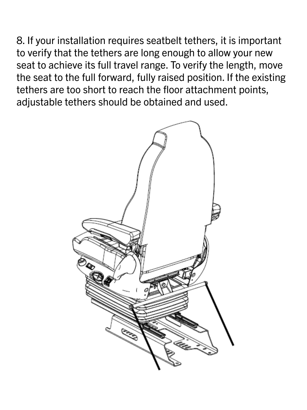8. If your installation requires seatbelt tethers, it is important to verify that the tethers are long enough to allow your new seat to achieve its full travel range. To verify the length, move the seat to the full forward, fully raised position. If the existing tethers are too short to reach the floor attachment points, adjustable tethers should be obtained and used.

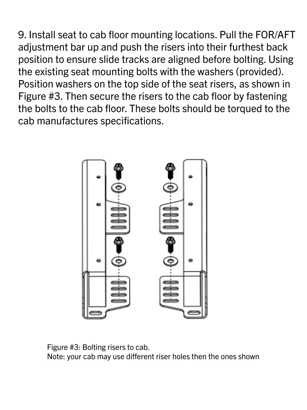9. Install seat to cab floor mounting locations. Pull the FOR/AFT adjustment bar up and push the risers into their furthest back position to ensure slide tracks are aligned before bolting. Using the existing seat mounting bolts with the washers (provided). Position washers on the top side of the seat risers, as shown in Figure #3. Then secure the risers to the cab floor by fastening the bolts to the cab floor. These bolts should be torqued to the cab manufactures specifications.



#### Figure #3: Bolting risers to cab. Note: your cab may use different riser holes then the ones shown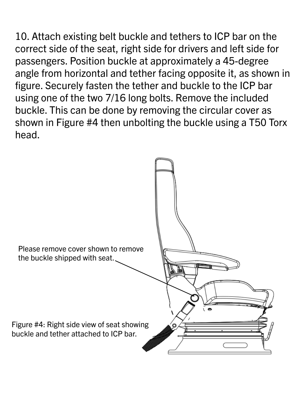10. Attach existing belt buckle and tethers to ICP bar on the correct side of the seat, right side for drivers and left side for passengers. Position buckle at approximately a 45-degree angle from horizontal and tether facing opposite it, as shown in figure. Securely fasten the tether and buckle to the ICP bar using one of the two 7/16 long bolts. Remove the included buckle. This can be done by removing the circular cover as shown in Figure #4 then unbolting the buckle using a T50 Torx head.



#### Figure #4: Right side view of seat showing buckle and tether attached to ICP bar.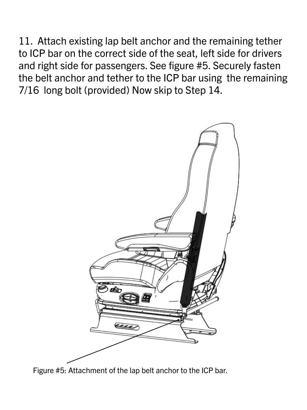11. Attach existing lap belt anchor and the remaining tether to ICP bar on the correct side of the seat, left side for drivers and right side for passengers. See figure #5. Securely fasten the belt anchor and tether to the ICP bar using the remaining 7/16 long bolt (provided) Now skip to Step 14.



Figure #5: Attachment of the lap belt anchor to the ICP bar.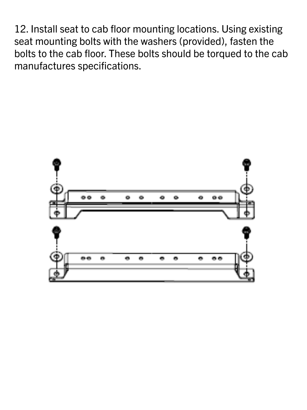12. Install seat to cab floor mounting locations. Using existing seat mounting bolts with the washers (provided), fasten the bolts to the cab floor. These bolts should be torqued to the cab manufactures specifications.

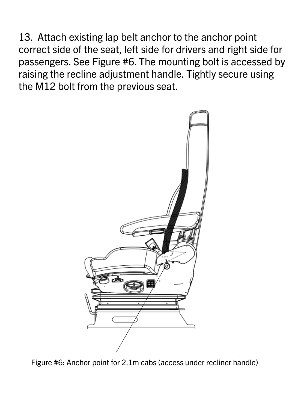13. Attach existing lap belt anchor to the anchor point correct side of the seat, left side for drivers and right side for passengers. See Figure #6. The mounting bolt is accessed by raising the recline adjustment handle. Tightly secure using the M12 bolt from the previous seat.



#### Figure #6: Anchor point for 2.1m cabs (access under recliner handle)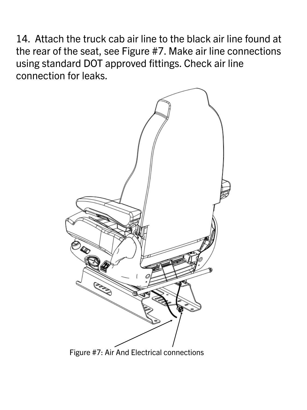14. Attach the truck cab air line to the black air line found at the rear of the seat, see Figure #7. Make air line connections using standard DOT approved fittings. Check air line connection for leaks.

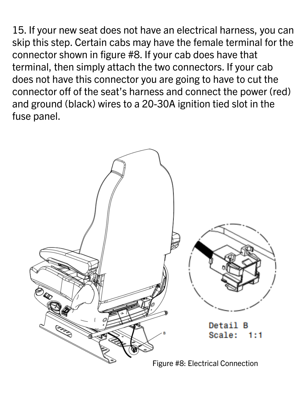15. If your new seat does not have an electrical harness, you can skip this step. Certain cabs may have the female terminal for the connector shown in figure #8. If your cab does have that terminal, then simply attach the two connectors. If your cab does not have this connector you are going to have to cut the connector off of the seat's harness and connect the power (red) and ground (black) wires to a 20-30A ignition tied slot in the fuse panel.

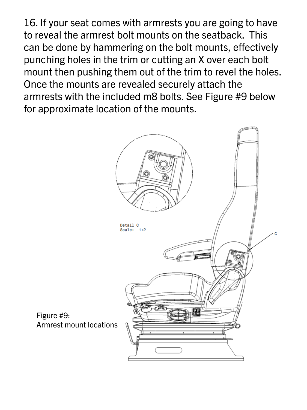16. If your seat comes with armrests you are going to have to reveal the armrest bolt mounts on the seatback. This can be done by hammering on the bolt mounts, effectively punching holes in the trim or cutting an X over each bolt mount then pushing them out of the trim to revel the holes. Once the mounts are revealed securely attach the armrests with the included m8 bolts. See Figure #9 below for approximate location of the mounts.



#### Figure #9: Armrest mount locations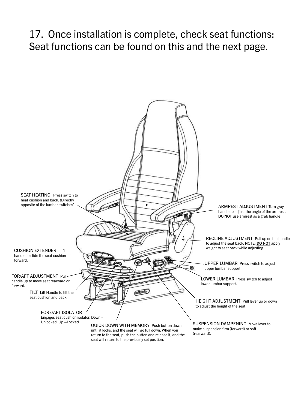17. Once installation is complete, check seat functions: Seat functions can be found on this and the next page.

TILT Lift Handle to tilt the seat cushion and back.



HEIGHT ADJUSTMENT Pull lever up or down to adjust the height of the seat.

SUSPENSION DAMPENING Move lever to make suspension firm (forward) or soft (rearward).

QUICK DOWN WITH MEMORY Push button down until it locks, and the seat will go full down. When you return to the seat, push the button and release it, and the seat will return to the previously set position.

FORE/AFT ISOLATOR Engages seat cushion isolator. Down - Unlocked. Up –Locked.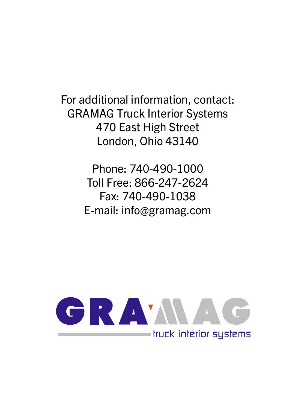For additional information, contact: GRAMAG Truck Interior Systems 470 East High Street London, Ohio 43140

> Phone: 740-490-1000 Toll Free: 866-247-2624 Fax: 740-490-1038 E-mail: info@gramag.com

## GRAMMAG - truck interior systems